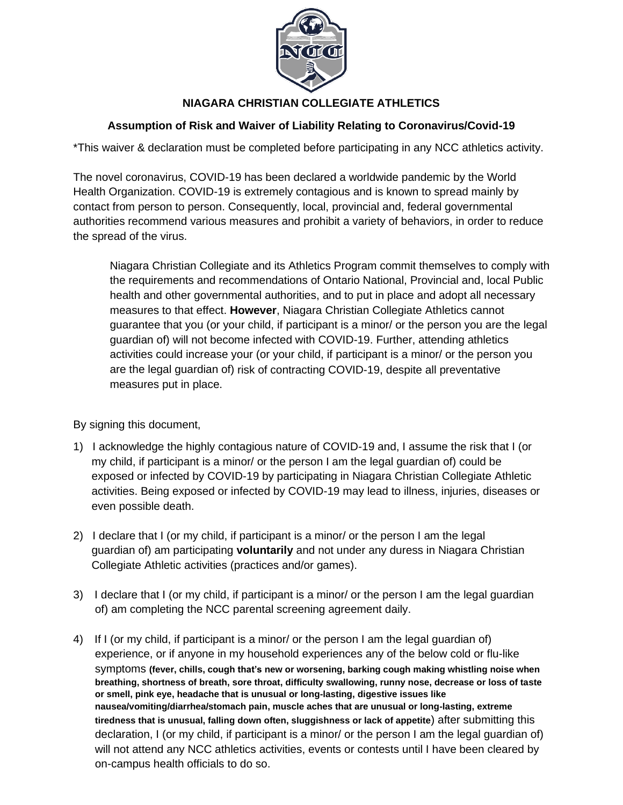

## **NIAGARA CHRISTIAN COLLEGIATE ATHLETICS**

## **Assumption of Risk and Waiver of Liability Relating to Coronavirus/Covid-19**

\*This waiver & declaration must be completed before participating in any NCC athletics activity.

The novel coronavirus, COVID-19 has been declared a worldwide pandemic by the World Health Organization. COVID-19 is extremely contagious and is known to spread mainly by contact from person to person. Consequently, local, provincial and, federal governmental authorities recommend various measures and prohibit a variety of behaviors, in order to reduce the spread of the virus.

Niagara Christian Collegiate and its Athletics Program commit themselves to comply with the requirements and recommendations of Ontario National, Provincial and, local Public health and other governmental authorities, and to put in place and adopt all necessary measures to that effect. **However**, Niagara Christian Collegiate Athletics cannot guarantee that you (or your child, if participant is a minor/ or the person you are the legal guardian of) will not become infected with COVID-19. Further, attending athletics activities could increase your (or your child, if participant is a minor/ or the person you are the legal guardian of) risk of contracting COVID-19, despite all preventative measures put in place.

By signing this document,

- 1) I acknowledge the highly contagious nature of COVID-19 and, I assume the risk that I (or my child, if participant is a minor/ or the person I am the legal guardian of) could be exposed or infected by COVID-19 by participating in Niagara Christian Collegiate Athletic activities. Being exposed or infected by COVID-19 may lead to illness, injuries, diseases or even possible death.
- 2) I declare that I (or my child, if participant is a minor/ or the person I am the legal guardian of) am participating **voluntarily** and not under any duress in Niagara Christian Collegiate Athletic activities (practices and/or games).
- 3) I declare that I (or my child, if participant is a minor/ or the person I am the legal guardian of) am completing the NCC parental screening agreement daily.
- 4) If I (or my child, if participant is a minor/ or the person I am the legal guardian of) experience, or if anyone in my household experiences any of the below cold or flu-like symptoms **(fever, chills, cough that's new or worsening, barking cough making whistling noise when breathing, shortness of breath, sore throat, difficulty swallowing, runny nose, decrease or loss of taste or smell, pink eye, headache that is unusual or long-lasting, digestive issues like nausea/vomiting/diarrhea/stomach pain, muscle aches that are unusual or long-lasting, extreme tiredness that is unusual, falling down often, sluggishness or lack of appetite**) after submitting this declaration, I (or my child, if participant is a minor/ or the person I am the legal guardian of) will not attend any NCC athletics activities, events or contests until I have been cleared by on-campus health officials to do so.